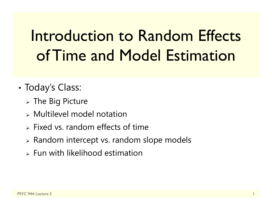# Introduction to Random Effects of Time and Model Estimation

- • Today's Class:
	- $\triangleright$  The Big Picture
	- Multilevel model notation
	- $\triangleright$  Fixed vs. random effects of time
	- Random intercept vs. random slope models
	- $\triangleright$  Fun with likelihood estimation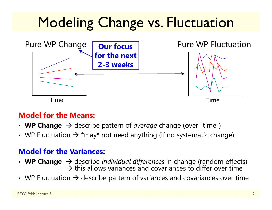# **Modeling Change vs. Fluctuation**



#### **Model for the Means:**

- WP Change  $\rightarrow$  describe pattern of *average* change (over "time")
- WP Fluctuation  $\bm{\rightarrow}$  \*may\* not need anything (if no systematic change)

#### **Model for the Variances:**

- WP Change  $\rightarrow$  describe *individual differences* in change (random effects)  $\rightarrow$  this allows variances and covariances to differ over time
- WP Fluctuation  $\bm{\rightarrow}$  describe pattern of variances and covariances over time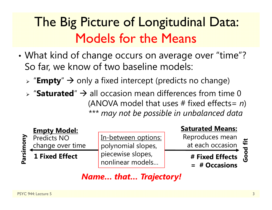### The Big Picture of Longitudinal Data: Models for the Means

- • What kind of change occurs on average over "time"? So far, we know of two baseline models:
	- > "**Empty**" → only a fixed intercept (predicts no change)
	- $\triangleright$  "Saturated"  $\rightarrow$  all occasion mean differences from time 0 (ANOVA model that uses # fixed effects= *n* ) *\*\*\* may not be possible in unbalanced data*



In-between options: polynomial slopes, piecewise slopes, nonlinear models…

#### **Saturated Means:**

Reproduces mean at each occasion

**# Fixed Effects** 

**= # Occasions**

Good fit **Good fit**

#### *Name… that… Trajectory!*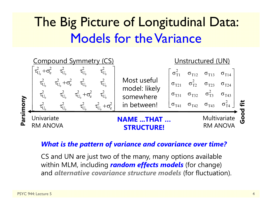### The Big Picture of Longitudinal Data: Models for the Variance



#### *What is the pattern of variance and covariance over time?*

CS and UN are just two of the many, many options available within MLM, including *random effects models* (for change) and *alternative covariance structure models* (for fluctuation).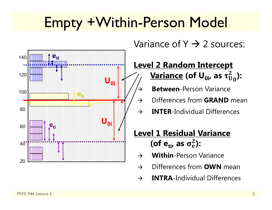# Empty +Within-Person Model

 $\rightarrow$ 



Variance of Y  $\rightarrow$  2 sources:

#### **Level 2 Random Intercept <u>Variance</u> (of U<sub>0i</sub>, as τ** $_0^2$ **):**

- **Between**-Person Variance
- $\rightarrow$ Differences from **GRAND** mean
- $\rightarrow$ **INTER**-Individual Differences

#### **Level 1 Residual Variance** (of e<sub>ti</sub>, as  $\sigma_{\rm e}^2$ ):

- $\rightarrow$ **Within**-Person Variance
- $\rightarrow$ Differences from **OWN** mean
- $\rightarrow$ **INTRA**-Individual Differences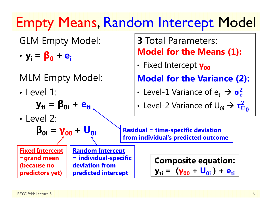## Empty Means, Random Intercept Model

#### GLM Empty Model:

•**yi = β<sup>0</sup> <sup>+</sup> ei**

#### MLM Empty Model:

• Level 1:

$$
\mathbf{y}_{ti} = \mathbf{\beta}_{0i} + \mathbf{e}_{ti}
$$

• Level 2:

$$
\beta_{0i} = \gamma_{00} + U_{0i}
$$

**Fixed Intercept =grand mean (because no predictors yet)** 

**Random Intercept = individual-specific deviation from predicted intercept**

#### **3** Total Parameters: **Model for the Means (1):**

•**·** Fixed Intercept  $\gamma_{00}$ 

**Model for the Variance (2):**

•• Level-1 Variance of  $\mathrm{e_{\scriptscriptstyle{t\mathrm{i}}}} \rightarrow \sigma_{\mathrm{e}}^2$ 

• Level-2 Variance of 
$$
U_{0i} \rightarrow \tau_{U_0}^2
$$

**Residual = time-specific deviation from individual's predicted outcome** 

> **Composite equation: yti = (γ<sup>00</sup> + U0i ) + eti**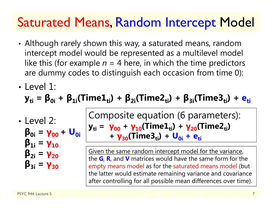#### Saturated Means, Random Intercept Model

- • Although rarely shown this way, a saturated means, random intercept model would be represented as a multilevel model like this (for example  $n = 4$  here, in which the time predictors are dummy codes to distinguish each occasion from time 0):
- Level 1:

$$
\mathbf{y}_{ti} = \beta_{0i} + \beta_{1i}(Time1_{ti}) + \beta_{2i}(Time2_{ti}) + \beta_{3i}(Time3_{ti}) + e_{ti}
$$

• Level 2:

$$
\beta_{0i} = \gamma_{00} + U_{0i}
$$
\n
$$
\beta_{1i} = \gamma_{10}
$$
\n
$$
\beta_{2i} = \gamma_{20}
$$
\n
$$
\beta_{3i} = \gamma_{30}
$$

Composite equation (6 parameters): **yti <sup>=</sup>γ<sup>00</sup> <sup>+</sup>γ10(Time1ti) <sup>+</sup>γ20(Time2ti)**  <mark>+ γ<sub>30</sub>(Time3<sub>ti</sub>) + U<sub>0i</sub> + e<sub>ti</sub></mark>

Given the same random intercept model for the variance, the **G**, **R**, and **V** matrices would have the same form for the empty means model as for the saturated means model (but the latter would estimate remaining variance and covariance after controlling for all possible mean differences over time).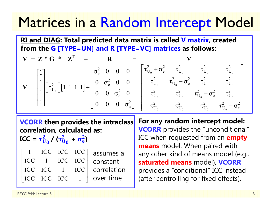### Matrices in a Random Intercept Model

**RI and DIAG: Total predicted data matrix is called V matrix, created from the G [TYPE=UN] and R [TYPE=VC] matrices as follows:**

$$
\mathbf{V} = \mathbf{Z} \cdot \mathbf{G} \cdot \mathbf{Z}^{T} + \mathbf{R} = \mathbf{V}
$$
  
\n
$$
\mathbf{V} = \begin{bmatrix} 1 \\ 1 \\ 1 \\ 1 \end{bmatrix} \begin{bmatrix} \tau_{U_{0}}^{2} \end{bmatrix} \begin{bmatrix} 1 & 1 & 1 & 1 \end{bmatrix} + \begin{bmatrix} \sigma_{e}^{2} & 0 & 0 & 0 \\ 0 & \sigma_{e}^{2} & 0 & 0 \\ 0 & 0 & \sigma_{e}^{2} & 0 \\ 0 & 0 & 0 & \sigma_{e}^{2} \end{bmatrix} = \begin{bmatrix} \tau_{U_{0}}^{2} + \sigma_{e}^{2} & \tau_{U_{0}}^{2} & \tau_{U_{0}}^{2} & \tau_{U_{0}}^{2} \\ \tau_{U_{0}}^{2} & \tau_{U_{0}}^{2} + \sigma_{e}^{2} & \tau_{U_{0}}^{2} \\ \tau_{U_{0}}^{2} & \tau_{U_{0}}^{2} & \tau_{U_{0}}^{2} + \sigma_{e}^{2} \\ \tau_{U_{0}}^{2} & \tau_{U_{0}}^{2} & \tau_{U_{0}}^{2} & \tau_{U_{0}}^{2} + \sigma_{e}^{2} \end{bmatrix}
$$

**VCORR then provides the intraclass correlation, calculated as:** 

 $\mathbf{ICC} = \mathbf{\tau_U^2}$  $\frac{2}{\mathsf{U}_\mathsf{0}}$  /  $(\tau_\mathsf{U}^2$  $\frac{2}{\mathsf{U}_{{\bf 0}}}$  $+$   $\sigma_{e}^{2}$ **)**

1 ICC ICC ICC ICC 1 ICC ICC ICC ICC 1 ICC correlation ICC ICC ICC 1 $\begin{bmatrix} 1 & \text{ICC} & \text{ICC} & \text{ICC} \\ \text{ICC} & 1 & \text{ICC} & \text{ICC} \\ \text{ICC} & \text{ICC} & 1 & \text{ICC} \\ \text{ICC} & \text{ICC} & \text{ICC} & 1 \end{bmatrix}$ assumes a constant over time

**For any random intercept model: VCORR** provides the "unconditional" ICC when requested from an **empty means** model. When paired with any other kind of means model (e.g., **saturated means** model), **VCORR** provides a "conditional" ICC instead (after controlling for fixed effects).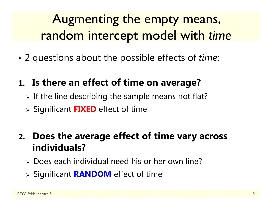### Augmenting the empty means, random intercept model with *time*

•2 questions about the possible effects of *time*:

#### **1. Is there an effect of time on average?**

- $\triangleright$  If the line describing the sample means not flat?
- Significant **FIXED** effect of time

#### **2. Does the average effect of time vary across individuals?**

- Does each individual need his or her own line?
- Significant **RANDOM** effect of time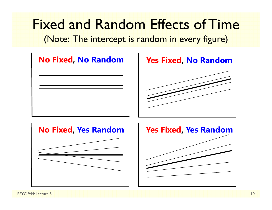Fixed and Random Effects of Time(Note: The intercept is random in every figure)

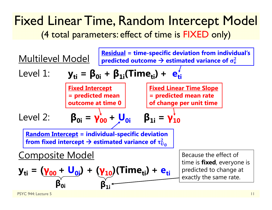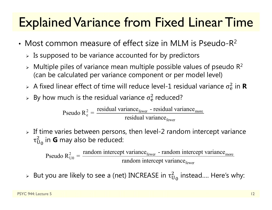#### Explained Variance from Fixed Linear Time

- Most common measure of effect size in MLM is Pseudo-R 2
	- $\triangleright$  Is supposed to be variance accounted for by predictors
	- $\triangleright$  Multiple piles of variance mean multiple possible values of pseudo R<sup>2</sup> (can be calculated per variance component or per model level)
	- $>$  A fixed linear effect of time will reduce level-1 residual variance  $\sigma_{\rm e}^2$  $\frac{2}{6}$  in **R**
	- $\triangleright$  By how much is the residual variance  $\sigma_{\rm e}^2$  $<sup>2</sup>$  reduced?</sup>

 $\epsilon_{\text{e}}^2 = \frac{\text{residual variance}_{\text{fewer}} - \text{residual variance}_{\text{move}}}{\text{residual variance}_{\text{fewer}}}$ residual variance - residual variancePseudo  $R_e^2 = \frac{7.65 \text{ rad}}{2} \cdot \frac{1.65 \text{ rad}}{2} \cdot \text{residual variance}}$ 

 $\triangleright$  If time varies between persons, then level-2 random intercept variance  $\tau_{\rm U}$  $^2_{{\mathsf U}_0}$  in **G** may also be reduced:

 $\frac{2}{U0} = \frac{1 \text{ and on inductor per variable}}{\text{random intercept variance}}$ Pseudo  $R_{U0}^2 = \frac{\text{random intercept variance}_{\text{fewer}} - \text{random intercept variance}}{\text{random intercept variance}_{\text{fewer}}}$ 

 $\triangleright$  But you are likely to see a (net) INCREASE in  $\tau_{\mathrm{U}}^2$  $^2_{\mathrm{U}_\mathrm{0}}$  instead.... Here's why: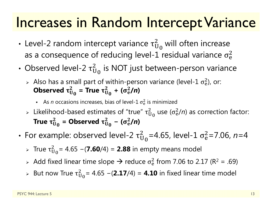#### Increases in Random Intercept Variance

- •• Level-2 random intercept variance  $\tau^2_U$  $_{\rm U_0}^2$  will often increase as a consequence of reducing level-1 residual variance  $\sigma_{\rm e}^2$  $\overline{2}$
- Observed level-2  $\tau^2_{\mathrm{U}}$  $_{\rm U_0}^2$  is NOT just between-person variance
	- > Also has a small part of within-person variance (level-1  $\sigma_{\rm e}^2$ ), or: Observed  $\bm{\tau}^{\scriptscriptstyle\mathcal{L}}_{\mathsf{U}}$  $_{\rm U_0}^2$  = True  $\tau_{\rm U}^2$  $\frac{2}{\mu_0}$  + (σ<sup>2</sup><sub>e</sub>  $^{2}_{e}$ /n)
		- **As** *n* occasions increases, bias of level-1  $\sigma_{\rm e}^2$  $\frac{2}{9}$  is minimized
	- $\triangleright$  Likelihood-based estimates of "true"  $\tau_{\mathrm{U}}^2$  $_{\rm U_0}^2$  use ( $\sigma_{\rm e}^2$  $\frac{2}{e}$ /n) as correction factor: True  $\bm{\tau}^{\text{{\tiny \it L}}}_{\text{U}}$  $_{\rm U_0}^2$  = Observed  $\tau_{\rm U}^2$  $\frac{2}{\mathsf{U}_0}$  – ( $\sigma_{\rm e}^2$  $^{2}_{e}$ /n)
- •• For example: observed level-2  $\tau^2_{\mathrm{U}}$  $\overline{2}$ <sub>0</sub>=4.65, level-1 σ $^2$ e=7.06, *n*=4
	- $\triangleright$  True τ $_\mathrm{U}^2$ ଶ = 4.65 <sup>−</sup>(**7.60**/4) = **2.88** in empty means model
	- $\triangleright$  Add fixed linear time slope  $\rightarrow$  reduce  $\sigma_{\rm e}^2$  $^{2}_{6}$  from 7.06 to 2.17 (R<sup>2</sup> = .69)
	- $>$  But now True  $\tau^2_{\mathrm{U}}$ ଶ = 4.65 <sup>−</sup>(**2.17**/4) = **4.10** in fixed linear time model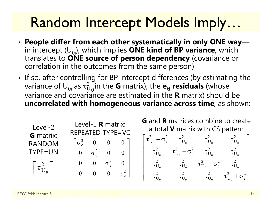# Random Intercept Models Imply…

- • **People differ from each other systematically in only ONE way**  $\mathcal{L}(\mathcal{L})$ in intercept  $(U_{0i})$ , which implies **ONE kind of BP variance**, which translates to **ONE source of person dependency** (covariance or correlation in the outcomes from the same person)
- •• If so, after controlling for BP intercept differences (by estimating the variance of  $\sf{U}_{0i}$  as  $\tau^2_U$  $\overline{2}$  $_{\rm 0}$ in the  ${\bf G}$  matrix), the  ${\bf e_{ti}}$   $\bm{\mathsf{residuals}}$  (whose variance and covariance are estimated in the **R** matrix) should be **uncorrelated with homogeneous variance across time**, as shown:

0 $\left[\, \tau_{\mathrm{U}_{{}_{0}}}^2\,\right]$ 2 e 2 e 2 e 2 e  $\sigma_{0}^2$  0 0 0  $0 \quad \sigma_{\circ}^2 \quad 0 \quad 0$  $0$   $0$   $\sigma_{\circ}^2$   $0$  $\begin{bmatrix} \sigma_{\rm e}^2 & 0 & 0 & 0 \ 0 & \sigma_{\rm e}^2 & 0 & 0 \ 0 & 0 & \sigma_{\rm e}^2 & 0 \ 0 & 0 & 0 & \sigma_{\rm e}^2 \end{bmatrix} \qquad \begin{bmatrix} \tau_{\rm U_0} + \sigma_{\rm e} & \tau_{\rm U_0} & \tau_{\rm U_0} & \tau_{\rm U_0} & \tau_{\rm U_0} & \tau_{\rm U_0}^2 & \tau_{\rm U_0}^2 & \tau_{\rm U_0}^2 & \tau_{\rm U_0}^2 & \tau_{\rm U_0}^2 & \tau_{\rm U$ 0  $\cup_0$   $\cup_0$   $\cup_0$  $\tau_{\rm U_{0}}^{2}+\sigma_{\rm e}^{2} \qquad \tau_{\rm U_{0}}^{2} \qquad \quad \tau_{\rm U_{0}}^{2} \qquad \quad \tau_{\rm U_{0}}^{2}$  $\tau^2_{\rm U_o}$  +  $\sigma^2_{\rm e}$  +  $\tau^2_{\rm U_o}$  +  $\tau^2_{\rm U_o}$  $\tau^2_{\rm U_o} \qquad \tau^2_{\rm U_o} \qquad \tau^2_{\rm U_o} + \sigma^2_{\rm e} \qquad \tau^2_{\rm U_o}$  $\tau^2_{\rm U_o}$   $\tau^2_{\rm U_o}$   $\tau^2_{\rm U_o}$   $\tau^2_{\rm U_o}$  +  $\sigma^2_{\rm e}$  $\begin{bmatrix} \tau_{U_0}^2 + \sigma_e^2 & \tau_{U_0}^2 & \tau_{U_0}^2 & \tau_{U_0}^2 \ \tau_{U_0}^2 & \tau_{U_0}^2 + \sigma_e^2 & \tau_{U_0}^2 & \tau_{U_0}^2 \ \tau_{U_0}^2 & \tau_{U_0}^2 & \tau_{U_0}^2 + \sigma_e^2 & \tau_{U_0}^2 \ \tau_{U_0}^2 & \tau_{U_0}^2 & \tau_{U_0}^2 & \tau_{U_0}^2 + \sigma_e^2 \end{bmatrix}$ Level-2 **G** matrix: RANDOM TYPE=UNLevel-1 **R** matrix: REPEATED TYPE=VC**G** and **R** matrices combine to create a total **V** matrix with CS pattern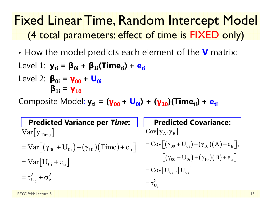- •How the model predicts each element of the **V** matrix:
- Level 1:  $y_{ti} = β_{0i} + β_{1i}(Time_{ti}) + e_{ti}$ Level 2: **β0i <sup>=</sup> γ00 <sup>+</sup> U0iβ1i <sup>=</sup> γ10**

Composite Model:  $y_{ti} = (y_{00} + U_{0i}) + (y_{10})$ (Time<sub>ti</sub>) + e<sub>ti</sub>

| <b>Predicted Variance per Time:</b>                                           | <b>Predicted Covariance:</b>                                                 |
|-------------------------------------------------------------------------------|------------------------------------------------------------------------------|
| $Var[y_{Time}]$                                                               | $Cov[y_A, y_B]$                                                              |
| $= \text{Var}[(\gamma_{00} + U_{0i}) + (\gamma_{10}) (\text{Time}) + e_{ti})$ | $=$ Cov $\left[ (\gamma_{00} + U_{0i}) + (\gamma_{10})(A) + e_{ti} \right],$ |
| $= \text{Var} [U_{0i} + e_{ti}]$                                              | $(\gamma_{00} + U_{0i}) + (\gamma_{10}) (B) + e_{ii}$                        |
|                                                                               | $=$ Cov $[U_{0i}]$ , $[U_{0i}]$                                              |
| $=\tau_{U_0}^2+\sigma_e^2$                                                    | $=\tau_{U_0}^2$                                                              |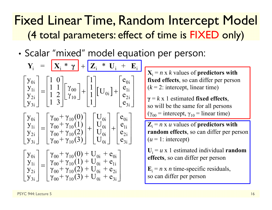•• Scalar "mixed" model equation per person:

$$
Y_{i} = \begin{bmatrix} X_{i} * \gamma \\ Y_{0i} \\ Y_{1i} \\ Y_{2i} \\ Y_{3i} \end{bmatrix} + \begin{bmatrix} 1 \\ 1 \\ 1 \\ 1 \\ 1 \end{bmatrix} \begin{bmatrix} v_{00} \\ V_{10} \end{bmatrix} + \begin{bmatrix} 1 \\ 1 \\ 1 \\ 1 \\ 1 \end{bmatrix} \begin{bmatrix} v_{0i} \\ v_{0i} \\ v_{3i} \end{bmatrix} + \begin{bmatrix} 1 \\ 1 \\ 1 \\ 1 \\ 1 \end{bmatrix} \begin{bmatrix} v_{0i} \\ v_{10} \\ v_{3i} \end{bmatrix} + \begin{bmatrix} 1 \\ 1 \\ 1 \\ 1 \\ 1 \end{bmatrix} \begin{bmatrix} v_{0i} \\ v_{0i} \\ v_{3i} \end{bmatrix} + \begin{bmatrix} v_{0i} \\ v_{0i} \\ v_{3i} \end{bmatrix} \begin{bmatrix} v_{0i} \\ v_{0i} \\ v_{3i} \end{bmatrix} = \begin{bmatrix} \gamma_{00} + \gamma_{10}(0) \\ \gamma_{00} + \gamma_{10}(1) \\ \gamma_{00} + \gamma_{10}(2) \\ \gamma_{00} + \gamma_{10}(3) \end{bmatrix} + \begin{bmatrix} U_{0i} \\ U_{0i} \\ U_{0i} \end{bmatrix} + \begin{bmatrix} e_{0i} \\ e_{1i} \\ e_{2i} \\ e_{3i} \end{bmatrix}
$$

$$
\begin{bmatrix} y_{0i} \\ y_{1i} \\ y_{2i} \\ y_{3i} \end{bmatrix} = \begin{bmatrix} \gamma_{00} + \gamma_{10}(0) + U_{0i} + e_{0i} \\ \gamma_{00} + \gamma_{10}(1) + U_{0i} + e_{1i} \\ \gamma_{00} + \gamma_{10}(2) + U_{0i} + e_{2i} \\ \gamma_{00} + \gamma_{10}(3) + U_{0i} + e_{3i} \end{bmatrix}
$$

 $X_i = n \times k$  values of **predictors with fixed effects**, so can differ per person  $(k = 2$ : intercept, linear time)

**γ** <sup>=</sup> *k* x 1 estimated **fixed effects**, so will be the same for all persons ( $\gamma_{00}$  = intercept,  $\gamma_{10}$  = linear time)

 $\mathbf{Z}_i = n \times u$  values of **predictors with random effects**, so can differ per person  $(u = 1$ : intercept)

 $U_i = u \times 1$  estimated individual **random effects**, so can differ per person

 $\mathbf{E}_i = n \times n$  time-specific residuals, so can differ per person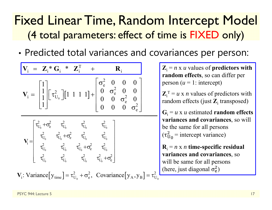•Predicted total variances and covariances per person:

$$
V_{i} = \begin{bmatrix} 1 \\ 1 \\ 1 \end{bmatrix} \begin{bmatrix} \tau_{U_{0}}^{2} & \tau_{U_{0}}^{2} & \tau_{U_{0}}^{2} \\ \tau_{U_{0}}^{2} & \tau_{U_{0}}^{2} & \tau_{U_{0}}^{2} \\ \tau_{U_{0}}^{2} & \tau_{U_{0}}^{2} & \tau_{U_{0}}^{2} \\ \tau_{U_{0}}^{2} & \tau_{U_{0}}^{2} & \tau_{U_{0}}^{2} \\ \tau_{U_{0}}^{2} & \tau_{U_{0}}^{2} & \tau_{U_{0}}^{2} \\ \tau_{U_{0}}^{2} & \tau_{U_{0}}^{2} & \tau_{U_{0}}^{2} \\ \tau_{U_{0}}^{2} & \tau_{U_{0}}^{2} & \tau_{U_{0}}^{2} \\ \tau_{U_{0}}^{2} & \tau_{U_{0}}^{2} & \tau_{U_{0}}^{2} \\ \tau_{U_{0}}^{2} & \tau_{U_{0}}^{2} & \tau_{U_{0}}^{2} \\ \tau_{U_{0}}^{2} & \tau_{U_{0}}^{2} & \tau_{U_{0}}^{2} \\ \tau_{U_{0}}^{2} & \tau_{U_{0}}^{2} & \tau_{U_{0}}^{2} \\ \tau_{U_{0}}^{2} & \tau_{U_{0}}^{2} & \tau_{U_{0}}^{2} \\ \tau_{U_{0}}^{2} & \tau_{U_{0}}^{2} & \tau_{U_{0}}^{2} \\ \tau_{U_{0}}^{2} & \tau_{U_{0}}^{2} & \tau_{U_{0}}^{2} \\ \tau_{U_{0}}^{2} & \tau_{U_{0}}^{2} & \tau_{U_{0}}^{2} \\ \tau_{U_{0}}^{2} & \tau_{U_{0}}^{2} & \tau_{U_{0}}^{2} \\ \tau_{U_{0}}^{2} & \tau_{U_{0}}^{2} & \tau_{U_{0}}^{2} \\ \tau_{U_{0}}^{2} & \tau_{U_{0}}^{2} & \tau_{U_{0}}^{2} \\ \tau_{U_{0}}^{2} & \tau_{U_{0}}^{2} & \tau_{U_{0}}^{2} \\ \tau_{U_{0}}^{2} & \tau_{U_{0}}^{2} & \tau_{U_{0}}^{2} \\ \tau_{U_{0}}^{2} & \tau_{U_{0}}^{2} & \tau_{U_{0}}^{2} \\ \tau_{U_{0}}^{2} & \tau_{U_{0}}^{2} & \tau_{U_{0}}^{2} \\ \tau
$$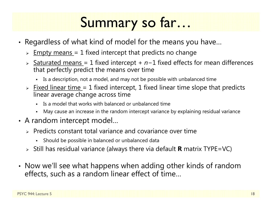## Summary so far…

- • Regardless of what kind of model for the means you have…
	- $\triangleright$   $\;$  <u>Empty means =</u> 1 fixed intercept that predicts no change
	- > Saturated means = 1 fixed intercept + n−1 fixed effects for mean differences that perfectly predict the means over time
		- Is a description, not a model, and may not be possible with unbalanced time
	- $\triangleright$  Fixed linear time = 1 fixed intercept, 1 fixed linear time slope that predicts linear average change across time
		- Г Is a model that works with balanced or unbalanced time
		- Г May cause an increase in the random intercept variance by explaining residual variance
- A random intercept model…
	- $\triangleright$  Predicts constant total variance and covariance over time
		- ä, Should be possible in balanced or unbalanced data
	- Still has residual variance (always there via default **R** matrix TYPE=VC)
- • Now we'll see what happens when adding other kinds of random effects, such as a random linear effect of time…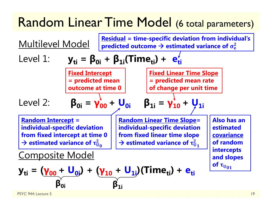#### Random Linear Time Model (6 total parameters)

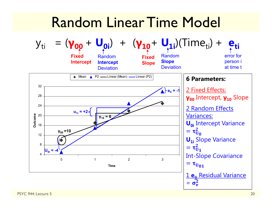#### Random Linear Time Model

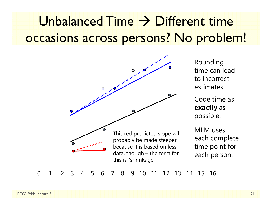### $Unbalanced$  Time  $\rightarrow$  Different time occasions across persons? No problem!



Rounding time can lead to incorrect estimates!

Code time as **exactly** as possible.

MLM uses each complete time point for each person.

0 1 2 3 4 5 6 7 8 9 10 11 12 13 14 15 16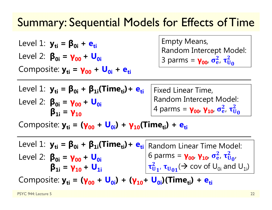#### Summary: Sequential Models for Effects of Time

Level 1:  $y_{ti} = β_{0i} + e_{ti}$ Level 2: **β0i <sup>=</sup> γ00 <sup>+</sup> U0i**Composite:  $y_{ti} = y_{00} + U_{0i} + e_{ti}$  Empty Means, Random Intercept Model: 3 parms = <mark>γ<sub>οο</sub>, σ΄</mark>  $\frac{2}{\rm e}$ ,  $\tau_{\rm U}^2$  $\frac{2}{\mathsf{U}_0}$ 

| Level 1: $y_{ti} = \beta_{0i} + \beta_{1i}(Time_{ti}) + e_{ti}$   Fixed Linear Time, |                                                                           |
|--------------------------------------------------------------------------------------|---------------------------------------------------------------------------|
| Level 2: $\beta_{0i} = \gamma_{00} + U_{0i}$                                         | $ $ Random Intercept Model:                                               |
| $\beta_{1i} = \gamma_{10}$                                                           | 4 parms = $\gamma_{00}$ , $\gamma_{10}$ , $\sigma_{e}^2$ , $\tau_{U_0}^2$ |

Composite:  $y_{ti} = (y_{00} + U_{0i}) + y_{10}$ (Time<sub>ti</sub>) + e<sub>ti</sub>

Level 1:  $y_{ti} = β_{0i} + β_{1i}(Time_{ti}) + e_{ti}$  Random Linear Time Model: Level 2: **β0i <sup>=</sup> γ00 <sup>+</sup> U0iβ1i <sup>=</sup> γ10 <sup>+</sup> U1i**6 parms = **γ<sub>οο</sub>, γ<sub>10</sub>, σ** $\frac{2}{6}$  $\frac{2}{\rm e}$ ,  $\tau_{\rm U}^2$  $\overset{\mathbf{2}}{\mathbf{U}}\mathbf{0}^{\prime}$  $\tau_{\bar{U}}$  $\frac{2}{\mathsf{U}_\mathbf{1'}}$   $\boldsymbol{\tau}_{\mathsf{U}_\mathbf{01}}(\boldsymbol{\rightarrow}$  cov of  $\mathsf{U}_{\mathsf{0i}}$  and  $\mathsf{U}_{\mathsf{1i}}$ )

Composite: y<sub>ti</sub> = (γ<sub>00</sub> + U<sub>0i</sub>) + (γ<sub>10</sub>+ U<sub>0i</sub>)(Time<sub>ti</sub>) + e<sub>ti</sub>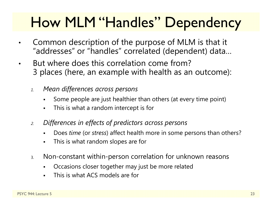# How MLM "Handles" Dependency

- • Common description of the purpose of MLM is that it "addresses" or "handles" correlated (dependent) data…
- • But where does this correlation come from? 3 places (here, an example with health as an outcome):
	- *1. Mean differences across persons*
		- Some people are just healthier than others (at every time point)
		- $\blacksquare$ This is what a random intercept is for
	- *2. Differences in effects of predictors across persons*
		- $\blacksquare$ Does *time* (or *stress*) affect health more in some persons than others?
		- $\blacksquare$ This is what random slopes are for
	- 3. Non-constant within-person correlation for unknown reasons
		- F Occasions closer together may just be more related
		- This is what ACS models are for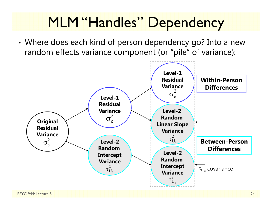# MLM "Handles" Dependency

• Where does each kind of person dependency go? Into a new random effects variance component (or "pile" of variance):

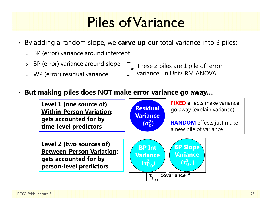# Piles of Variance

- By adding a random slope, we **carve up** our total variance into 3 piles:
	- $\triangleright$  BP (error) variance around intercept
	- $\triangleright$  BP (error) variance around slope
	- WP (error) residual variance

These 2 piles are 1 pile of "error variance" in Univ. RM ANOVA

#### •**But making piles does NOT make error variance go away…**

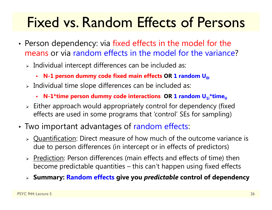# Fixed vs. Random Effects of Persons

- •• Person dependency: via fixed effects in the model for the means or via random effects in the model for the variance?
	- $\triangleright$  Individual intercept differences can be included as:
		- **N-1 person dummy code fixed main effects OR 1 random U<sub>0i</sub>**
	- $\triangleright$  Individual time slope differences can be included as:
		- **-** N-1\*time person dummy code interactions OR 1 random U<sub>1i</sub>\*time<sub>ti</sub>
	- $\triangleright$  Either approach would appropriately control for dependency (fixed) effects are used in some programs that 'control' SEs for sampling)
- • Two important advantages of random effects:
	- > Quantification: Direct measure of how much of the outcome variance is due to person differences (in intercept or in effects of predictors)
	- > Prediction: Person differences (main effects and effects of time) then become predictable quantities – this can't happen using fixed effects
	- **Summary: Random effects give you** *predictable* **control of dependency**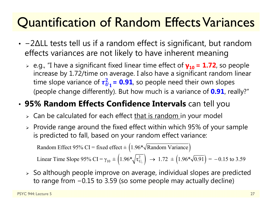### Quantification of Random Effects Variances

- − 2 ∆LL tests tell us if a random effect is significant, but random effects variances are not likely to have inherent meaning
	- e.g., "I have a significant fixed linear time effect of **γ10 = 1.72**, so people increase by 1.72/time on average. I also have a significant random linear time slope variance of  $\tau_U^2$  $\frac{2}{v_1}$  = 0.91, so people need their own slopes (people change differently). But how much is a variance of **0.91**, really?"

#### •**95% Random Effects Confidence Intervals** can tell you

- $\triangleright\;$  Can be calculated for each effect <u>that is random i</u>n your model
- $\triangleright$  Provide range around the fixed effect within which 95% of your sample is predicted to fall, based on your random effect variance:

Random Effect 95% CI = fixed effect  $\pm (1.96*\sqrt{\text{Random Variance}})$ 

Linear Time Slope 95% CI =  $\gamma_{10} \pm \left(1.96*\sqrt{\tau_{U_1}^2}\right) \rightarrow 1.72 \pm \left(1.96*\sqrt{0.91}\right) = -0.15$  to 3.59

 $\triangleright$  So although people improve on average, individual slopes are predicted to range from <sup>−</sup>0.15 to 3.59 (so some people may actually decline)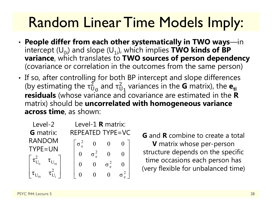# Random Linear Time Models Imply:

- • **People differ from each other systematically in TWO ways**—in intercept  $(U_{0i})$  and slope  $(U_{1i})$ , which implies **TWO kinds of BP variance**, which translates to **TWO sources of person dependency**  (covariance or correlation in the outcomes from the same person)
- •• If so, after controlling for both BP intercept and slope differences (by estimating the  $\tau_{\mathrm{U}}^{2}$  $_{\rm U_0}^2$  and  $\rm \tau_U^2$  $^2_{{\mathbf{U}}_{\mathbf{1}}}$  variances in the **G** matrix), the  $\mathbf{e}_{\mathbf{t}}$ **residuals** (whose variance and covariance are estimated in the **R** matrix) should be **uncorrelated with homogeneous variance across time**, as shown:

| Level-2          | Level-1 R matrix: |  |  |  |  |
|------------------|-------------------|--|--|--|--|
| <b>G</b> matrix: | REPEATED TYPE=VC  |  |  |  |  |
| <b>RANDOM</b>    |                   |  |  |  |  |
| TYPE=UN          |                   |  |  |  |  |
|                  |                   |  |  |  |  |
|                  |                   |  |  |  |  |
|                  |                   |  |  |  |  |

**G** and **R** combine to create a total **V** matrix whose per-person structure depends on the specific time occasions each person has (very flexible for unbalanced time)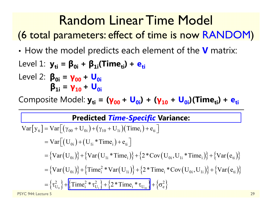### Random Linear Time Model

(6 total parameters: effect of time is now RANDOM )

•How the model predicts each element of the **V** matrix:

Level 1: 
$$
y_{ti} = \beta_{0i} + \beta_{1i}(Time_{ti}) + e_{ti}
$$
\nLevel 2:  $\beta_{0i} = \gamma_{00} + U_{0i}$ \n $\beta_{1i} = \gamma_{10} + U_{0i}$ 

Composite Model:  $y_{ti} = (y_{00} + U_{0i}) + (y_{10} + U_{0i})$ (Time<sub>ti</sub>) + e<sub>ti</sub>

#### **Predicted** *Time-Specific* **Variance:**

$$
Var[y_{ti}] = Var[(\gamma_{00} + U_{0i}) + (\gamma_{10} + U_{1i})(Time_{i}) + e_{ti}]
$$
  
\n
$$
= Var[(U_{0i}) + (U_{1i} * Time_{i}) + e_{ti}]
$$
  
\n
$$
= {Var(U_{0i})} + {Var(U_{1i} * Time_{i})} + {2 * Cov(U_{0i}, U_{1i} * Time_{i})} + {Var(e_{ti})}
$$
  
\n
$$
= {Var(U_{0i})} + {Time_{i}^{2} * Var(U_{1i})} + {2 * Time_{i} * Cov(U_{0i}, U_{1i})} + {Var(e_{ti})}
$$
  
\n
$$
= {τ_{U_{0}}^{2}} + {Time_{i}^{2} * τ_{U_{1}}^{2}} + {2 * Time_{i} * τ_{U_{0i}}} + {σ_{e}^{2}}
$$
  
\n
$$
P^{STC 944: Lecture 5}
$$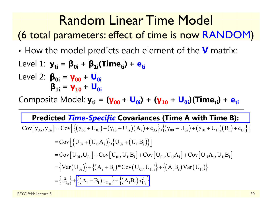#### Random Linear Time Model

(6 total parameters: effect of time is now RANDOM)

•How the model predicts each element of the **V** matrix:

Level 1: 
$$
y_{ti} = \beta_{0i} + \beta_{1i}(Time_{ti}) + e_{ti}
$$
\nLevel 2:  $\beta_{0i} = \gamma_{00} + U_{0i}$ \n $\beta_{1i} = \gamma_{10} + U_{0i}$ 

Composite Model:  $y_{ti}$  = ( $y_{00}$  + U<sub>0i</sub>) + ( $y_{10}$  + U<sub>0i</sub>)(Time<sub>ti</sub>) + e<sub>ti</sub>

#### **Predicted** *Time-Specific* **Covariances (Time A with Time B):**

$$
Cov[y_{Ai}, y_{Bi}] = Cov\Big[\{(\gamma_{00} + U_{0i}) + (\gamma_{10} + U_{1i})(A_i) + e_{Ai}\}, \{(\gamma_{00} + U_{0i}) + (\gamma_{10} + U_{1i})(B_i) + e_{Bi}\}\Big]
$$
  
\n
$$
= Cov\Big[\{U_{0i} + (U_{1i}A_i)\}, \{U_{0i} + (U_{1i}B_i)\}\Big]
$$
  
\n
$$
= Cov\Big[U_{0i}, U_{0i}\Big] + Cov\Big[U_{0i}, U_{1i}B_i\Big] + Cov\Big[U_{0i}, U_{1i}A_i\Big] + Cov\Big[U_{1i}A_i, U_{1i}B_i\Big]
$$
  
\n
$$
= \{Var\Big(U_{0i}\Big)\} + \{ (A_i + B_i) * Cov\Big(U_{0i}, U_{1i}\Big)\} + \{ (A_iB_i) Var\Big(U_{1i}\Big)\}
$$
  
\n
$$
= \{ \tau_{U_0}^2 \} + \Big[\{ (A_i + B_i) \tau_{U_{0i}} \} + \{ (A_iB_i) \tau_{U_{1i}}^2 \}
$$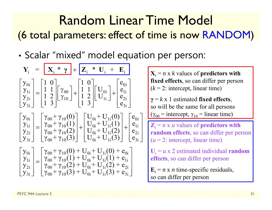#### Random Linear Time Model (6 total parameters: effect of time is now RANDOM )

•• Scalar "mixed" model equation per person:

$$
Y_{i} = \begin{bmatrix} X_{i} * \gamma \\ Y_{1i} \\ Y_{2i} \\ Y_{3i} \end{bmatrix} + \begin{bmatrix} 1 & 0 \\ 1 & 1 \\ 1 & 2 \\ 1 & 3 \end{bmatrix} \begin{bmatrix} Y_{00} \\ Y_{10} \\ Y_{10} \end{bmatrix} + \begin{bmatrix} 1 & 0 \\ 1 & 1 \\ 1 & 2 \\ 1 & 3 \end{bmatrix} \begin{bmatrix} U_{0i} \\ U_{1i} \end{bmatrix} + \begin{bmatrix} e_{0i} \\ e_{1i} \\ e_{2i} \\ e_{3i} \end{bmatrix}
$$
\n
$$
Y_{i} = n \times k
$$
 values of **predictors with fixed effects**, so can differ per person\n
$$
\gamma = k \times 1
$$
 estimated **fixed effects**, so will be the same for all persons\n
$$
\begin{bmatrix} Y_{0i} \\ Y_{1i} \\ Y_{2i} \\ Y_{3i} \end{bmatrix} = \begin{bmatrix} Y_{00} + Y_{10}(0) \\ Y_{00} + Y_{10}(1) \\ Y_{00} + Y_{10}(2) \\ Y_{00} + Y_{10}(3) \end{bmatrix} + \begin{bmatrix} U_{0i} + U_{1i}(0) \\ U_{0i} + U_{1i}(1) \\ U_{0i} + U_{1i}(2) \\ U_{0i} + U_{1i}(3) \end{bmatrix} + \begin{bmatrix} e_{0i} \\ e_{1i} \\ e_{2i} \\ e_{3i} \end{bmatrix}
$$
\n
$$
Y_{i} = k \times 1
$$
 estimated **fixed effects**, so can differ the same for all persons will be the same for all persons will be the same for all persons will be the same for all persons with a random effects, so can differ per person.\n
$$
\begin{bmatrix} Y_{0i} \\ Y_{1i} \\ Y_{2i} \\ Y_{3i} \end{bmatrix} = \begin{bmatrix} Y_{00} + Y_{10}(0) + U_{0i} + U_{1i}(0) + e_{0i} \\ Y_{00} + Y_{10}(1) + U_{0i} + U_{1i}(1) + e_{1i} \\ Y_{00} + Y_{10}(2) + U_{0i} + U_{1i}(2) + e_{2i} \\ Y_{00} + Y_{10}(3) + U_{0i} + U_{1i}(3) + e_{3i} \end{bmatrix}
$$
\n
$$
Y_{
$$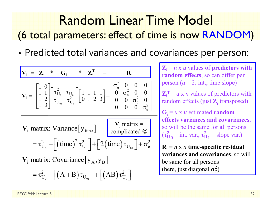#### Random Linear Time Model (6 total parameters: effect of time is now RANDOM )

•Predicted total variances and covariances per person:

| $V_i = Z_i * G_i * Z_i^T + R_i$                                                                                                                                                                                                                                                                                                                                           | $R_i$                                                                                                                                      |                         |                         |
|---------------------------------------------------------------------------------------------------------------------------------------------------------------------------------------------------------------------------------------------------------------------------------------------------------------------------------------------------------------------------|--------------------------------------------------------------------------------------------------------------------------------------------|-------------------------|-------------------------|
| $V_i = \begin{bmatrix} 1 & 0 \\ 1 & 1 \\ 1 & 2 \\ 1 & 3 \end{bmatrix} \begin{bmatrix} \tau_{U_0}^2 & \tau_{U_{U_1}} \\ \tau_{U_{U_0}} & \tau_{U_{U_1}}^2 \end{bmatrix} \begin{bmatrix} 1 & 1 & 1 & 1 \\ 0 & 1 & 2 & 3 \end{bmatrix} + \begin{bmatrix} \sigma_e^2 & 0 & 0 & 0 \\ 0 & \sigma_e^2 & 0 & 0 \\ 0 & 0 & \sigma_e^2 & 0 \\ 0 & 0 & 0 & \sigma_e^2 \end{bmatrix}$ | $Z_i^T = u \times n$ values of predictors with random effects, so can differ per person ( <i>u</i> = 2: int., time slope)                  |                         |                         |
| $V_i$ matrix: Variance $\begin{bmatrix} y_{time} \end{bmatrix}$                                                                                                                                                                                                                                                                                                           | $V_i$ matrix = $\sigma_{U_0}^2 + \left[ (\text{time})^2 \tau_{U_1}^2 \right] + \left[ 2 (\text{time}) \tau_{U_{U_1}} \right] + \sigma_e^2$ | $\sigma_{\text{new}}^2$ | $\sigma_{\text{new}}^2$ |
| $\tau_{\text{new}}^2 = u \times u$ estimated random effects (just $Z_i$ transposed)                                                                                                                                                                                                                                                                                       |                                                                                                                                            |                         |                         |
| $\tau_{\text{new}}^2 = \tau_{\text{new}}^2 + \left[ (\text{time})^2 \tau_{\text{new}}^2 \right] + \left[ 2 (\text{time}) \tau_{\text{new}} \right] + \sigma_e^2$                                                                                                                                                                                                          | $\sigma_{\text{new}}^2$                                                                                                                    | $\sigma_{\text{new}}^2$ |                         |
| $\tau_{\text{new}}^2 = \tau_{\text{new}}^2 + \left[ (\text{time})^2 \tau_{\text{new}}^2 \right] + \left[ 2 (\text{time}) \tau_{\text{new}} \right] + \sigma_e^2$                                                                                                                                                                                                          | $\sigma_{\text{new}}^2$                                                                                                                    | $\sigma_{\text{new}}^2$ | <                       |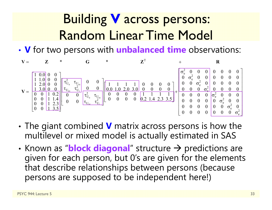### Building **V** across persons: Random Linear Time Model

• **V** for two persons with **unbalanced time** observations:



- • The giant combined **V** matrix across persons is how the multilevel or mixed model is actually estimated in SAS
- •• Known as "**block diagonal**" structure  $\rightarrow$  predictions are given for each person, but 0's are given for the elements that describe relationships between persons (because persons are supposed to be independent here!)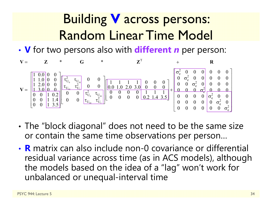### Building **V** across persons: Random Linear Time Model

• **V** for two persons also with **different** *<sup>n</sup>* per person:



- • The "block diagonal" does not need to be the same size or contain the same time observations per person…
- **R** matrix can also include non-0 covariance or differential residual variance across time (as in ACS models), although the models based on the idea of a "lag" won't work for unbalanced or unequal-interval time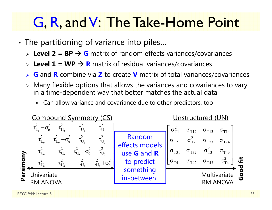# G, R, and V: The Take-Home Point

- • The partitioning of variance into piles…
	- **► Level 2 = BP → G** matrix of random effects variances/covariances
	- **► Level 1 = WP → R** matrix of residual variances/covariances
	- ➤ **G** and **R** combine via **Z** to create **V** matrix of total variances/covariances
	- $\triangleright$  Many flexible options that allows the variances and covariances to vary in a time-dependent way that better matches the actual data
		- Can allow variance and covariance due to other predictors, too

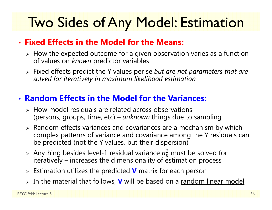# Two Sides of Any Model: Estimation

#### • **Fixed Effects in the Model for the Means:**

- $\triangleright$  How the expected outcome for a given observation varies as a function of values on *known* predictor variables
- Fixed effects predict the Y values per se *but are not parameters that are solved for iteratively in maximum likelihood estimation*

#### • **Random Effects in the Model for the Variances:**

- $\triangleright$  How model residuals are related across observations (persons, groups, time, etc) – *unknown* things due to sampling
- $\triangleright$  Random effects variances and covariances are a mechanism by which complex patterns of variance and covariance among the Y residuals can be predicted (not the Y values, but their dispersion)
- $>$  Anything besides level-1 residual variance  $\sigma_{\rm e}^2$  iteratively – increases the dimensionality of estimation process  $<sup>2</sup>$  must be solved for</sup>
- Estimation utilizes the predicted **V** matrix for each person
- In the material that follows, **V** will be based on a random linear model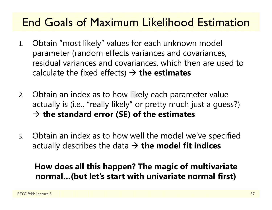#### End Goals of Maximum Likelihood Estimation

- 1. Obtain "most likely" values for each unknown model parameter (random effects variances and covariances, residual variances and covariances, which then are used to calculate the fixed effects) **the estimates**
- 2. Obtain an index as to how likely each parameter value actually is (i.e., "really likely" or pretty much just a guess?) **the standard error (SE) of the estimates**
- 3. Obtain an index as to how well the model we've specified actually describes the data **the model fit indices**

#### **How does all this happen? The magic of multivariate normal…(but let's start with univariate normal first)**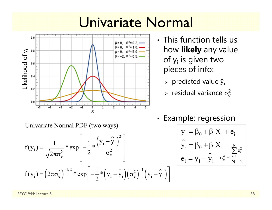### Univariate Normal



- This function tells us how **likely** any value of y<sub>i</sub> is given two pieces of info:
	- $\triangleright$   $\,$  predicted value  $\widehat y_{\rm i}$
	- $\triangleright$  residual variance  $\sigma_{\rm e}^2$  $\overline{c}$

Univariate Normal PDF (two ways):

$$
f(y_i) = \frac{1}{\sqrt{2\pi\sigma_e^2}} * \exp\left[-\frac{1}{2} * \frac{(y_i - \hat{y}_i)^2}{\sigma_e^2}\right]
$$
  

$$
f(y_i) = (2\pi\sigma_e^2)^{-1/2} * \exp\left[-\frac{1}{2} * (y_i - \hat{y}_i)(\sigma_e^2)^{-1} (y_i - \hat{y}_i)\right]
$$

•• Example: regression

 $\lceil$ 

 $\overline{\phantom{a}}$ 

$$
\boxed{ \begin{aligned} \mathbf{y}_i &= \beta_0 + \beta_1 X_i + e_i \\ \hat{\mathbf{y}}_i &= \beta_0 + \beta_1 X_i \\ e_i &= \mathbf{y}_i - \hat{\mathbf{y}}_i \end{aligned} }_{\sigma_e^2 = \frac{\sum\limits_{i=1}^N e_i^2}{N-2}}
$$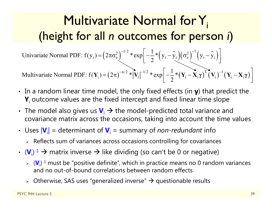#### Multivariate Normal for Y<sub>i</sub> (height for all *n***n** outcomes for person i)

 $\mathbf{I}_{i} = (2\pi\sigma_{e}^{2})^{-1/2}$  \*  $\exp\left(-\frac{1}{2}*\left(y_{i}-\hat{y}_{i}\right)\left(\sigma_{e}^{2}\right)^{-1}\left(y_{i}-\hat{y}_{i}\right)\right)$ 1Univariate Normal PDF:  $f(y_i) = (2\pi\sigma_e^2)$  \*  $\exp\left(-\frac{1}{2} * (y_i - y_i)(\sigma_e^2)$   $(y_i - y_i)(\sigma_e^2)$  $= (2\pi\sigma_e^2)^{-1/2} * \exp \left[ -\frac{1}{2} * (y_i - \hat{y}_i) (\sigma_e^2)^{-1} (y_i - \hat{y}_i) \right]$ 

 $\left(2\pi\right)^{-n/2} \sqrt[*]{\text{V}_{\text{i}}} \left|^{-1/2} \sqrt[*]{\text{exp}}\right| - \frac{1}{2} \sqrt[*]{\text{V}_{\text{i}}} - \bar{\textbf{X}}_{\text{i}} \gamma \right)^\text{T} \bar{\textbf{(}} \textbf{V}_{\text{i}})^{-1} \left(\textbf{V}_{\text{i}} - \textbf{X}_{\text{i}} \gamma\right)$ i i ii i ii 1Multivariate Normal PDF:  $f(Y_i) = (2\pi)^{-n/2} * |V_i|^{-n/2} * exp \Big(-\frac{1}{2} * (Y_i - X_i \gamma)^T (V_i) \Big)$  $\mathbf{Y}_{i}$  =  $(2\pi)^{-n/2}$  \*  $|\mathbf{V}_{i}|^{-1/2}$  \*  $\exp\left[-\frac{1}{2}*(\mathbf{Y}_{i}-\mathbf{X}_{i}\boldsymbol{\gamma})^{T}(\mathbf{V}_{i})^{-1}(\mathbf{Y}_{i}-\mathbf{X}_{i}\boldsymbol{\gamma})\right]$ **γ**  $(\mathbf{V}_i)$   $(\mathbf{V}_i - \mathbf{X}_i \mathbf{y})$ 

- In a random linear time model, the only fixed effects (in **γ**) that predict the **Y**i outcome values are the fixed intercept and fixed linear time slope
- The model also gives us  $\mathbf{V}_i \to$  the model-predicted total variance and covariance matrix across the occasions, taking into account the time values
- Uses  $|V_i|$  = determinant of  $V_i$  = summary of *non-redundant* info
	- $\triangleright$  Reflects sum of variances across occasions controlling for covariances
- $\bm{\cdot}$  (**V**<sub>i</sub>)<sup>-1</sup>  $\bm{\rightarrow}$  matrix inverse  $\bm{\rightarrow}$  like dividing (so can't be 0 or negative)
	- **► (V**<sub>i</sub>)<sup>-1</sup> must be "positive definite", which in practice means no 0 random variances and no out-of-bound correlations between random effects
	- $\triangleright$  Otherwise, SAS uses "generalized inverse"  $\rightarrow$  questionable results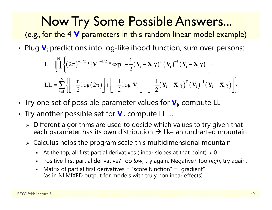### Now Try Some Possible Answers...

(e.g., for the 4 **V** parameters in this random linear model example)

• Plug  $\mathbf{V}_\text{i}$  predictions into log-likelihood function, sum over persons:

$$
L = \prod_{i=1}^{N} \left\{ \left( 2\pi \right)^{-n/2} * \left| \mathbf{V}_{i} \right|^{-1/2} * \exp \left[ -\frac{1}{2} (\mathbf{Y}_{i} - \mathbf{X}_{i} \gamma)^{T} (\mathbf{V}_{i})^{-1} (\mathbf{Y}_{i} - \mathbf{X}_{i} \gamma) \right] \right\}
$$
  
\n
$$
LL = \sum_{i=1}^{N} \left\{ \left[ -\frac{n}{2} \log(2\pi) \right] + \left[ -\frac{1}{2} \log |\mathbf{V}_{i}| \right] + \left[ -\frac{1}{2} (\mathbf{Y}_{i} - \mathbf{X}_{i} \gamma)^{T} (\mathbf{V}_{i})^{-1} (\mathbf{Y}_{i} - \mathbf{X}_{i} \gamma) \right] \right\}
$$

- •• Try one set of possible parameter values for  $\mathbf{V}_{i}$ , compute LL
- •• Try another possible set for  $\bm{\mathsf{V}}_{\mathsf{i} \bm{\mathsf{r}}}$  compute LL....
	- $\triangleright$  Different algorithms are used to decide which values to try given that each parameter has its own distribution  $\boldsymbol{\rightarrow}$  like an uncharted mountain
	- $\triangleright$  Calculus helps the program scale this multidimensional mountain
		- n -  $\;$  At the top, all first partial derivatives (linear slopes at that point)  $\approx 0$
		- n Positive first partial derivative? Too *low*, try again. Negative? Too *high*, try again.
		- n Matrix of partial first derivatives = "score function" = "gradient" (as in NLMIXED output for models with truly nonlinear effects)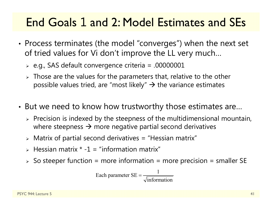#### End Goals 1 and 2: Model Estimates and SEs

- • Process terminates (the model "converges") when the next set of tried values for Vi don't improve the LL very much…
	- $\triangleright$  e.g., SAS default convergence criteria = .00000001
	- $\triangleright$  Those are the values for the parameters that, relative to the other possible values tried, are "most likely"  $\rightarrow$  the variance estimates
- • But we need to know how trustworthy those estimates are…
	- $\triangleright$  Precision is indexed by the steepness of the multidimensional mountain, where steepness  $\rightarrow$  more negative partial second derivatives
	- $\triangleright$  Matrix of partial second derivatives = "Hessian matrix"
	- $\triangleright$  Hessian matrix  $\cdot$  -1 = "information matrix"
	- $\triangleright$  So steeper function = more information = more precision = smaller SE

Each parameter 
$$
SE = \frac{1}{\sqrt{\text{information}}}
$$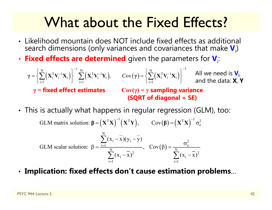### What about the Fixed Effects?

- Likelihood mountain does NOT include fixed effects as additional search dimensions (only variances and covariances that make  $\textbf{V}_{\rm i}$ )
- •**• Fixed effects are determined** given the parameters for  $V_i$ :

 $\left\{ \mathbf{X}_{\text{i}}^{\text{T}} \mathbf{V}_{\text{i}}^{-1} \mathbf{X}_{\text{i}} \right\} \geq \sum_{i} \left( \mathbf{X}_{\text{i}}^{\text{T}} \mathbf{V}_{\text{i}}^{-1} \mathbf{Y}_{\text{i}} \right), \qquad \text{Cov}(\gamma) = \left\{ \sum_{i} \left( \mathbf{X}_{\text{i}}^{\text{T}} \mathbf{V}_{\text{i}}^{-1} \mathbf{X}_{\text{i}} \right) \right\}$  $\sum_{i=1}^{N} \left(\mathbf{X}_{i}^{T} \mathbf{V}_{i}^{-1} \mathbf{X}_{i}\right)\Bigg\}^{-1} \sum_{i=1}^{N} \left(\mathbf{X}_{i}^{T} \mathbf{V}_{i}^{-1} \mathbf{Y}_{i}\right), \qquad \mathrm{Cov}(\gamma) = \left\{\sum_{i=1}^{N} \left(\mathbf{X}_{i}^{T} \mathbf{V}_{i}^{-1} \mathbf{X}_{i}\right)\right\}^{-1}$ , Cov  $\overline{a}$   $\overline{a}$   $\overline{a}$   $\overline{a}$   $\overline{a}$   $\overline{a}$   $\overline{a}$   $\overline{a}$   $\overline{a}$   $\overline{a}$   $\overline{a}$   $\overline{a}$   $\overline{a}$   $\overline{a}$   $\overline{a}$   $\overline{a}$   $\overline{a}$   $\overline{a}$   $\overline{a}$   $\overline{a}$   $\overline{a}$   $\overline{a}$   $\overline{a}$   $\overline{a}$   $\overline{$  $\sim$   $\mathbf{V}$   $\mathbf{V}$   $\mathbf{V}$   $\mathbf{V}$   $\mathbf{V}$   $\mathbf{V}$   $\mathbf{V}$   $\mathbf{V}$   $\mathbf{V}$   $\mathbf{V}$   $\mathbf{V}$   $\mathbf{V}$   $\mathbf{V}$   $\mathbf{V}$   $\mathbf{V}$   $\mathbf{V}$   $\mathbf{V}$   $\mathbf{V}$   $\mathbf{V}$   $\mathbf{V}$   $\mathbf{V}$   $\mathbf{V}$   $\mathbf{V}$   $\mathbf{V}$   $=$   $\begin{array}{ccc} & & & \end{array}$   $\begin{array}{ccc} & & & \end{array}$   $=$   $\begin{array}{ccc} & & & \end{array}$   $\begin{array}{ccc} & & & \end{array}$   $\begin{array}{ccc} & & & \end{array}$  **<sup>γ</sup> XV <sup>X</sup> XV <sup>Y</sup> <sup>γ</sup> XV <sup>X</sup>** All we need is **Vi** and the data: **X**, **Y γ <sup>=</sup>fixed effect estimates Cov( γ) = γ sampling variance (SQRT of diagonal = SE)**

• This is actually what happens in regular regression (GLM), too:

GLM matrix solution:  $\beta = (X^T X)^{-1} (X^T Y)$ ,  $Cov(\beta) = (X^T X)^{-1} \sigma_e^2$ **g** =  $(X^{\mathsf{T}}X)$   $(X^{\mathsf{T}}Y)$ ,  $Cov(\beta) = (X^{\mathsf{T}}X)$   $\sigma$ 

GLM scalar solution: 
$$
\beta = \frac{\sum_{i=1}^{N} (x_i - \overline{x})(y_i - \overline{y})}{\sum_{i=1}^{N} (x_i - \overline{x})^2}, \quad Cov(\beta) = \frac{\sigma_e^2}{\sum_{i=1}^{N} (x_i - \overline{x})^2}
$$

•**Implication: fixed effects don't cause estimation problems** …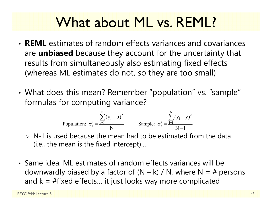### What about ML vs. REML?

- **REML** estimates of random effects variances and covariances are **unbiased** because they account for the uncertainty that results from simultaneously also estimating fixed effects (whereas ML estimates do not, so they are too small)
- • What does this mean? Remember "population" vs. "sample" formulas for computing variance?

Population: 
$$
\sigma_e^2 = \frac{\sum_{i=1}^{N} (y_i - \mu)^2}{N}
$$
 Sample:  $\sigma_e^2 = \frac{\sum_{i=1}^{N} (y_i - \overline{y})^2}{N - 1}$ 

- $\triangleright$  N-1 is used because the mean had to be estimated from the data (i.e., the mean is the fixed intercept)…
- Same idea: ML estimates of random effects variances will be downwardly biased by a factor of  $(N - k) / N$ , where  $N = #$  persons and  $k = #fixed$  effects... it just looks way more complicated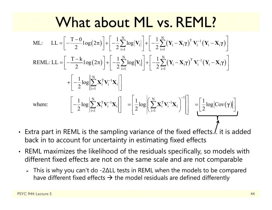### What about ML vs. REML?

$$
ML: LL = \left[ -\frac{T-0}{2} \log(2\pi) \right] + \left[ -\frac{1}{2} \sum_{i=1}^{N} \log |\mathbf{V}_{i}| \right] + \left[ -\frac{1}{2} \sum_{i=1}^{N} (\mathbf{Y}_{i} - \mathbf{X}_{i} \gamma)^{T} \mathbf{V}_{i}^{-1} (\mathbf{Y}_{i} - \mathbf{X}_{i} \gamma) \right]
$$
  
\nREML: LL =  $\left[ -\frac{T-k}{2} \log(2\pi) \right] + \left[ -\frac{1}{2} \sum_{i=1}^{N} \log |\mathbf{V}_{i}| \right] + \left[ -\frac{1}{2} \sum_{i=1}^{N} (\mathbf{Y}_{i} - \mathbf{X}_{i} \gamma)^{T} \mathbf{V}_{i}^{-1} (\mathbf{Y}_{i} - \mathbf{X}_{i} \gamma) \right]$   
\n $+ \left[ -\frac{1}{2} \log \left| \sum_{i=1}^{N} \mathbf{X}_{i}^{T} \mathbf{V}_{i}^{-1} \mathbf{X}_{i} \right| \right]$   
\nwhere:  $\left[ -\frac{1}{2} \log \left| \sum_{i=1}^{N} \mathbf{X}_{i}^{T} \mathbf{V}_{i}^{-1} \mathbf{X}_{i} \right| \right] = \left[ \frac{1}{2} \log \left| \left( \sum_{i=1}^{N} \mathbf{X}_{i}^{T} \mathbf{V}_{i}^{-1} \mathbf{X}_{i} \right)^{-1} \right| \right] = \left[ \frac{1}{2} \log |Cov(\gamma)| \right]$ 

- Extra part in REML is the sampling variance of the fixed effects. $\ell$ . it is added back in to account for uncertainty in estimating fixed effects
- REML maximizes the likelihood of the residuals specifically, so models with different fixed effects are not on the same scale and are not comparable
	- This is why you can't do -2 ∆LL tests in REML when the models to be compared have different fixed effects  $\bm{\rightarrow}$  the model residuals are defined differently

 $\lceil$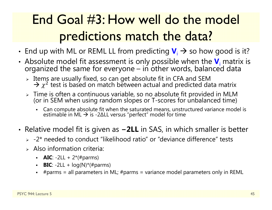### End Goal #3: How well do the model predictions match the data?

- •• End up with ML or REML LL from predicting  $\bm{V}_i \rightarrow$  so how good is it?
- • Absolute model fit assessment is only possible when the **V**iorganized the same for everyone – in other words, balanced data
	- $\triangleright$  Items are usually fixed, so can get absolute fit in CFA and SEM  $\rightarrow \chi^2$  test is based on match between actual and predicted data matrix
	- Time is often a continuous variable, so no absolute fit provided in MLM (or in SEM when using random slopes or T-scores for unbalanced time)
		- n • Can compute absolute fit when the saturated means, unstructured variance model is estimable in ML → is -2ΔLL versus "perfect" model for time
- • Relative model fit is given as **<sup>−</sup>2LL** in SAS, in which smaller is better
	- $\triangleright$  -2\* needed to conduct "likelihood ratio" or "deviance difference" tests
	- $\triangleright$  Also information criteria:
		- **AIC**: -2LL + 2\*(#parms)
		- n **BIC**:  $-2LL + log(N)*(t)$
		- n #parms = all parameters in ML; #parms = variance model parameters only in REML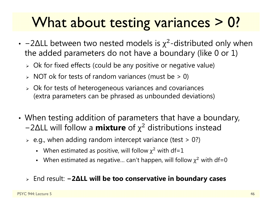# What about testing variances > 0?

- -2 $\Delta$ LL between two nested models is  $\chi^2$ -distributed only when the added parameters do not have a boundary (like 0 or 1)
	- $\triangleright$  Ok for fixed effects (could be any positive or negative value)
	- $\triangleright$  NOT ok for tests of random variances (must be  $>0$ )
	- Ok for tests of heterogeneous variances and covariances (extra parameters can be phrased as unbounded deviations)
- • When testing addition of parameters that have a boundary, − 2 ∆LL will follow a **mixture** of χ <sup>2</sup> distributions instead
	- $\triangleright$  e.g., when adding random intercept variance (test  $>$  0?)
		- When estimated as positive, will follow  $\chi^2$  with df=1
		- When estimated as negative... can't happen, will follow  $\chi^2$  with df=0
	- End result: **− 2 ∆LL will be too conservative in boundary cases**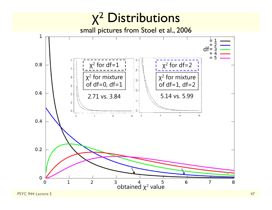#### χ<sup>2</sup> Distributions

small pictures from Stoel et al., 2006

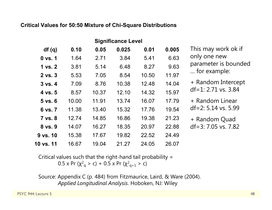#### **Critical Values for 50:50 Mixture of Chi-Square Distributions**

| <b>Significance Level</b> |       |       |       |       |       |                       |
|---------------------------|-------|-------|-------|-------|-------|-----------------------|
| df(q)                     | 0.10  | 0.05  | 0.025 | 0.01  | 0.005 | This may work ok if   |
| $0$ vs. $1$               | 1.64  | 2.71  | 3.84  | 5.41  | 6.63  | only one new          |
| 1 vs. 2                   | 3.81  | 5.14  | 6.48  | 8.27  | 9.63  | parameter is bounded  |
| $2$ vs. $3$               | 5.53  | 7.05  | 8.54  | 10.50 | 11.97 | for example:          |
| $3$ vs. $4$               | 7.09  | 8.76  | 10.38 | 12.48 | 14.04 | + Random Intercept    |
| 4 vs. 5                   | 8.57  | 10.37 | 12.10 | 14.32 | 15.97 | $df=1: 2.71$ vs. 3.84 |
| $5$ vs. $6$               | 10.00 | 11.91 | 13.74 | 16.07 | 17.79 | + Random Linear       |
| 6 vs. 7                   | 11.38 | 13.40 | 15.32 | 17.76 | 19.54 | $df=2: 5.14$ vs. 5.99 |
| 7 vs. 8                   | 12.74 | 14.85 | 16.86 | 19.38 | 21.23 | + Random Quad         |
| 8 vs. 9                   | 14.07 | 16.27 | 18.35 | 20.97 | 22.88 | $df=3:7.05$ vs. 7.82  |
| 9 vs. 10                  | 15.38 | 17.67 | 19.82 | 22.52 | 24.49 |                       |
| 10 vs. 11                 | 16.67 | 19.04 | 21.27 | 24.05 | 26.07 |                       |
|                           |       |       |       |       |       |                       |

Critical values such that the right-hand tail probability = 0.5 x Pr (χ $^2$ <sub>q</sub> > c) + 0.5 x Pr (χ $^2$ <sub>q+1</sub> > c)

Source: Appendix C (p. 484) from Fitzmaurice, Laird, & Ware (2004). *Applied Longitudinal Analysis*. Hoboken, NJ: Wiley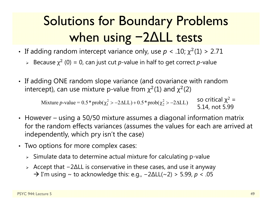#### Solutions for Boundary Problems when using 2 ∆LL tests

- If adding random intercept variance only, use  $p < .10$ ;  $\chi^2(1) > 2.71$ 
	- ► Because  $\chi^2$  (0) = 0, can just cut *p*-value in half to get correct *p*-value
- If adding ONE random slope variance (and covariance with random intercept), can use mixture p-value from  $\chi^2(1)$  and  $\chi^2(2)$

Mixture p-value =  $0.5*prob(\chi_1^2 > -2\Delta L L) + 0.5*prob(\chi_2^2 > -2\Delta L L)$ so critical χ<sup>2</sup> = 5.14, not 5.99

- However using a 50/50 mixture assumes a diagonal information matrix for the random effects variances (assumes the values for each are arrived at independently, which pry isn't the case)
- Two options for more complex cases:
	- $\triangleright$  Simulate data to determine actual mixture for calculating p-value
	- Accept that − 2 ∆LL is conservative in these cases, and use it anyway  $\rightarrow$  I'm using  $\sim$  to acknowledge this: e.g.,  $-2\Delta LL(\sim 2) > 5.99$ ,  $p < .05$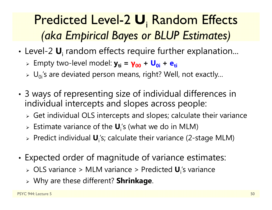#### Predicted Level-2  $\boldsymbol{\mathsf{U}}_{\mathsf{i}}$  Random Effects *(aka Empirical Bayes or BLUP Estimates)*

- • Level-2 **U**<sup>i</sup> random effects require further explanation...
	- Empty two-level model: **yti <sup>=</sup>γ<sup>00</sup> + U0i + eti**
	- $\triangleright$   $\bigcup_{0i}$ 's are deviated person means, right? Well, not exactly...
- • 3 ways of representing size of individual differences in individual intercepts and slopes across people:
	- $\triangleright$  Get individual OLS intercepts and slopes; calculate their variance
	- Estimate variance of the **U**i's (what we do in MLM)
	- Predict individual **U**i's; calculate their variance (2-stage MLM)
- • Expected order of magnitude of variance estimates:
	- OLS variance > MLM variance > Predicted **U**i's variance
	- Why are these different? **Shrinkage**.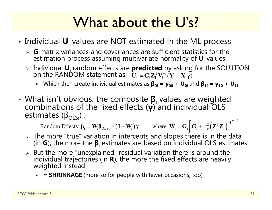# What about the U's?

- $\cdot$  Individual  $\textbf{U}_\text{i}$  values are NOT estimated in the ML process
	- **G** matrix variances and covariances are sufficient statistics for the estimation process assuming multivariate normality of **U**i values
	- > Individual U<sub>i</sub> random effects are **predicted** by asking for the SOLUTION on the RANDOM statement as:  $\mathbf{U} = \mathbf{G} \mathbf{Z}^{\mathrm{T}} \mathbf{V}^{-1} (\mathbf{Y} \mathbf{X} \mathbf{v})$  $\mathbf{U}_{\mathbf{i}} = \mathbf{G}_{\mathbf{i}} \mathbf{Z}_{\mathbf{i}}^{\mathrm{T}} \mathbf{V}_{\mathbf{i}}^{-1} (\mathbf{Y}_{\mathbf{i}} - \mathbf{X}_{\mathbf{i}} \mathbf{\gamma})$ 
		- Which then create individual estimates as **β0i <sup>=</sup> γ00 + U 0**i and **β1i <sup>=</sup> γ10 + U1i**
- •• What isn't obvious: the composite  $\beta_i$  values are weighted combinations of the fixed effects ( $\gamma$ ) and individual OLS estimates ( $\beta_{\text{OLS}}$ ): estimates ( $\beta_{\text{OLSi}}$ ) :

Random Effects:  $\beta_i = W_i \beta_{OLSi} + (I - W_i) \gamma$  where:  $W_i = G_i \left[ G_i + \sigma_e^2 (Z_i^T Z_i)^{-1} \right]^{-1}$  $\boldsymbol{\beta}_i = \mathbf{W}_i \boldsymbol{\beta}_{OLSi} + (\mathbf{I} - \mathbf{W}_i) \boldsymbol{\gamma}$  where:  $\mathbf{W}_i = \mathbf{G}_i \left[ \mathbf{G}_i + \sigma_e^2 \left( \mathbf{Z}_i^T \mathbf{Z}_i \right) \right]$ 

- $\triangleright$  The more "true" variation in intercepts and slopes there is in the data (in **G**), the more the **β**i estimates are based on individual OLS estimates
- $\triangleright$  But the more "unexplained" residual variation there is around the But the more "unexplained" residual variation there is around the<br>individual trajectories (in **R**), the more the fixed effects are heavily individual trajectories (in **R**), the more the fixed effects are heavily<br>weighted instead
	- <sup>=</sup>**SHRINKAGE** (more so for people with fewer occasions, too)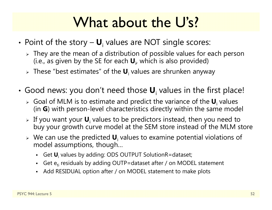# What about the U's?

- •• Point of the story – **U**<sub>i</sub> values are NOT single scores:
	- $\triangleright$  They are the mean of a distribution of possible values for each person-(i.e., as given by the SE for each **U**i, which is also provided)
	- These "best estimates" of the **U**i values are shrunken anyway
- • Good news: you don't need those **U**i values in the first place!
	- > Goal of MLM is to estimate and predict the variance of the **U**<sub>i</sub> values (in **G**) with person-level characteristics directly within the same model
	- If you want your **U**i values to be predictors instead, then you need to buy your growth curve model at the SEM store instead of the MLM store
	- $\triangleright$  We can use the predicted  $\mathbf{U}_i$  values to examine potential violations of model assumptions, though…
		- Get **U**i values by adding: ODS OUTPUT SolutionR=dataset;
		- n • Get e<sub>ti</sub> residuals by adding OUTP=dataset after / on MODEL statement
		- n Add RESIDUAL option after / on MODEL statement to make plots